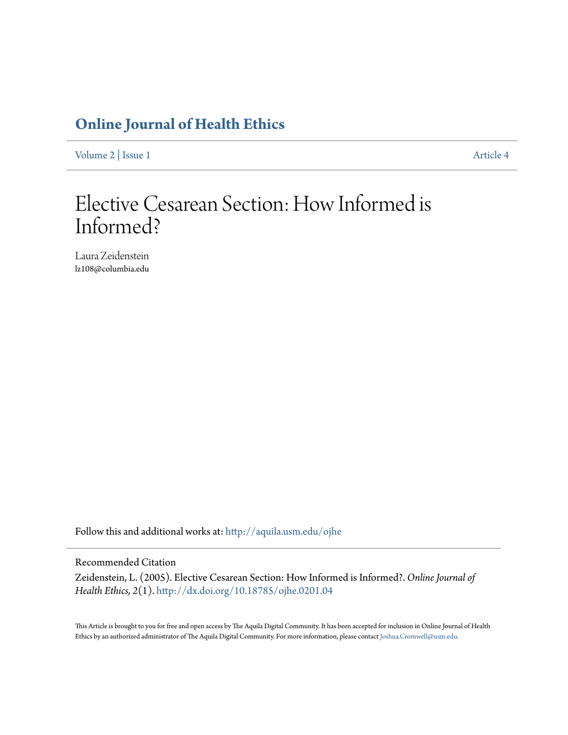# **[Online Journal of Health Ethics](http://aquila.usm.edu/ojhe?utm_source=aquila.usm.edu%2Fojhe%2Fvol2%2Fiss1%2F4&utm_medium=PDF&utm_campaign=PDFCoverPages)**

[Volume 2](http://aquila.usm.edu/ojhe/vol2?utm_source=aquila.usm.edu%2Fojhe%2Fvol2%2Fiss1%2F4&utm_medium=PDF&utm_campaign=PDFCoverPages) | [Issue 1](http://aquila.usm.edu/ojhe/vol2/iss1?utm_source=aquila.usm.edu%2Fojhe%2Fvol2%2Fiss1%2F4&utm_medium=PDF&utm_campaign=PDFCoverPages) [Article 4](http://aquila.usm.edu/ojhe/vol2/iss1/4?utm_source=aquila.usm.edu%2Fojhe%2Fvol2%2Fiss1%2F4&utm_medium=PDF&utm_campaign=PDFCoverPages)

# Elective Cesarean Section: How Informed is Informed?

Laura Zeidenstein lz108@columbia.edu

Follow this and additional works at: [http://aquila.usm.edu/ojhe](http://aquila.usm.edu/ojhe?utm_source=aquila.usm.edu%2Fojhe%2Fvol2%2Fiss1%2F4&utm_medium=PDF&utm_campaign=PDFCoverPages)

#### Recommended Citation

Zeidenstein, L. (2005). Elective Cesarean Section: How Informed is Informed?. *Online Journal of Health Ethics, 2*(1). <http://dx.doi.org/10.18785/ojhe.0201.04>

This Article is brought to you for free and open access by The Aquila Digital Community. It has been accepted for inclusion in Online Journal of Health Ethics by an authorized administrator of The Aquila Digital Community. For more information, please contact [Joshua.Cromwell@usm.edu.](mailto:Joshua.Cromwell@usm.edu)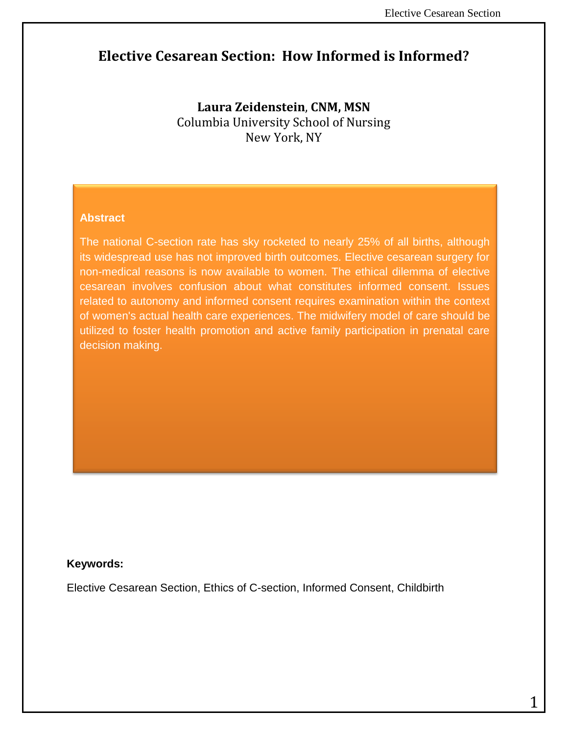# **Elective Cesarean Section: How Informed is Informed?**

**Laura Zeidenstein**, **CNM, MSN** Columbia University School of Nursing New York, NY

#### **Abstract**

The national C-section rate has sky rocketed to nearly 25% of all births, although its widespread use has not improved birth outcomes. Elective cesarean surgery for non-medical reasons is now available to women. The ethical dilemma of elective cesarean involves confusion about what constitutes informed consent. Issues related to autonomy and informed consent requires examination within the context of women's actual health care experiences. The midwifery model of care should be utilized to foster health promotion and active family participation in prenatal care decision making.

#### **Keywords:**

Elective Cesarean Section, Ethics of C-section, Informed Consent, Childbirth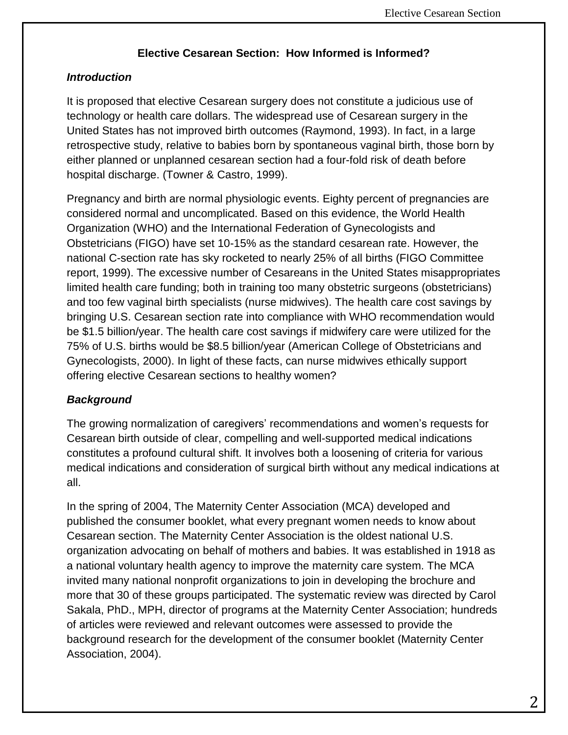# **Elective Cesarean Section: How Informed is Informed?**

# *Introduction*

It is proposed that elective Cesarean surgery does not constitute a judicious use of technology or health care dollars. The widespread use of Cesarean surgery in the United States has not improved birth outcomes (Raymond, 1993). In fact, in a large retrospective study, relative to babies born by spontaneous vaginal birth, those born by either planned or unplanned cesarean section had a four-fold risk of death before hospital discharge. (Towner & Castro, 1999).

Pregnancy and birth are normal physiologic events. Eighty percent of pregnancies are considered normal and uncomplicated. Based on this evidence, the World Health Organization (WHO) and the International Federation of Gynecologists and Obstetricians (FIGO) have set 10-15% as the standard cesarean rate. However, the national C-section rate has sky rocketed to nearly 25% of all births (FIGO Committee report, 1999). The excessive number of Cesareans in the United States misappropriates limited health care funding; both in training too many obstetric surgeons (obstetricians) and too few vaginal birth specialists (nurse midwives). The health care cost savings by bringing U.S. Cesarean section rate into compliance with WHO recommendation would be \$1.5 billion/year. The health care cost savings if midwifery care were utilized for the 75% of U.S. births would be \$8.5 billion/year (American College of Obstetricians and Gynecologists, 2000). In light of these facts, can nurse midwives ethically support offering elective Cesarean sections to healthy women?

# *Background*

The growing normalization of caregivers' recommendations and women's requests for Cesarean birth outside of clear, compelling and well-supported medical indications constitutes a profound cultural shift. It involves both a loosening of criteria for various medical indications and consideration of surgical birth without any medical indications at all.

In the spring of 2004, The Maternity Center Association (MCA) developed and published the consumer booklet, what every pregnant women needs to know about Cesarean section. The Maternity Center Association is the oldest national U.S. organization advocating on behalf of mothers and babies. It was established in 1918 as a national voluntary health agency to improve the maternity care system. The MCA invited many national nonprofit organizations to join in developing the brochure and more that 30 of these groups participated. The systematic review was directed by Carol Sakala, PhD., MPH, director of programs at the Maternity Center Association; hundreds of articles were reviewed and relevant outcomes were assessed to provide the background research for the development of the consumer booklet (Maternity Center Association, 2004).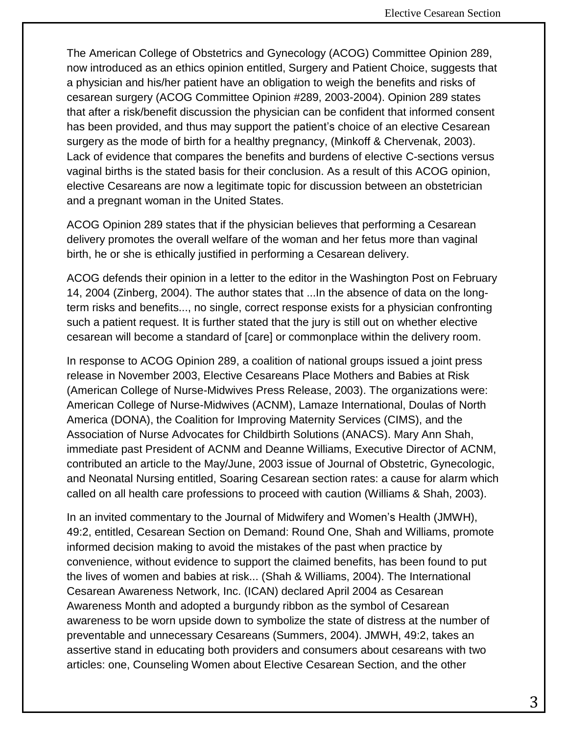The American College of Obstetrics and Gynecology (ACOG) Committee Opinion 289, now introduced as an ethics opinion entitled, Surgery and Patient Choice, suggests that a physician and his/her patient have an obligation to weigh the benefits and risks of cesarean surgery (ACOG Committee Opinion #289, 2003-2004). Opinion 289 states that after a risk/benefit discussion the physician can be confident that informed consent has been provided, and thus may support the patient's choice of an elective Cesarean surgery as the mode of birth for a healthy pregnancy, (Minkoff & Chervenak, 2003). Lack of evidence that compares the benefits and burdens of elective C-sections versus vaginal births is the stated basis for their conclusion. As a result of this ACOG opinion, elective Cesareans are now a legitimate topic for discussion between an obstetrician and a pregnant woman in the United States.

ACOG Opinion 289 states that if the physician believes that performing a Cesarean delivery promotes the overall welfare of the woman and her fetus more than vaginal birth, he or she is ethically justified in performing a Cesarean delivery.

ACOG defends their opinion in a letter to the editor in the Washington Post on February 14, 2004 (Zinberg, 2004). The author states that ...In the absence of data on the longterm risks and benefits..., no single, correct response exists for a physician confronting such a patient request. It is further stated that the jury is still out on whether elective cesarean will become a standard of [care] or commonplace within the delivery room.

In response to ACOG Opinion 289, a coalition of national groups issued a joint press release in November 2003, Elective Cesareans Place Mothers and Babies at Risk (American College of Nurse-Midwives Press Release, 2003). The organizations were: American College of Nurse-Midwives (ACNM), Lamaze International, Doulas of North America (DONA), the Coalition for Improving Maternity Services (CIMS), and the Association of Nurse Advocates for Childbirth Solutions (ANACS). Mary Ann Shah, immediate past President of ACNM and Deanne Williams, Executive Director of ACNM, contributed an article to the May/June, 2003 issue of Journal of Obstetric, Gynecologic, and Neonatal Nursing entitled, Soaring Cesarean section rates: a cause for alarm which called on all health care professions to proceed with caution (Williams & Shah, 2003).

In an invited commentary to the Journal of Midwifery and Women's Health (JMWH), 49:2, entitled, Cesarean Section on Demand: Round One, Shah and Williams, promote informed decision making to avoid the mistakes of the past when practice by convenience, without evidence to support the claimed benefits, has been found to put the lives of women and babies at risk... (Shah & Williams, 2004). The International Cesarean Awareness Network, Inc. (ICAN) declared April 2004 as Cesarean Awareness Month and adopted a burgundy ribbon as the symbol of Cesarean awareness to be worn upside down to symbolize the state of distress at the number of preventable and unnecessary Cesareans (Summers, 2004). JMWH, 49:2, takes an assertive stand in educating both providers and consumers about cesareans with two articles: one, Counseling Women about Elective Cesarean Section, and the other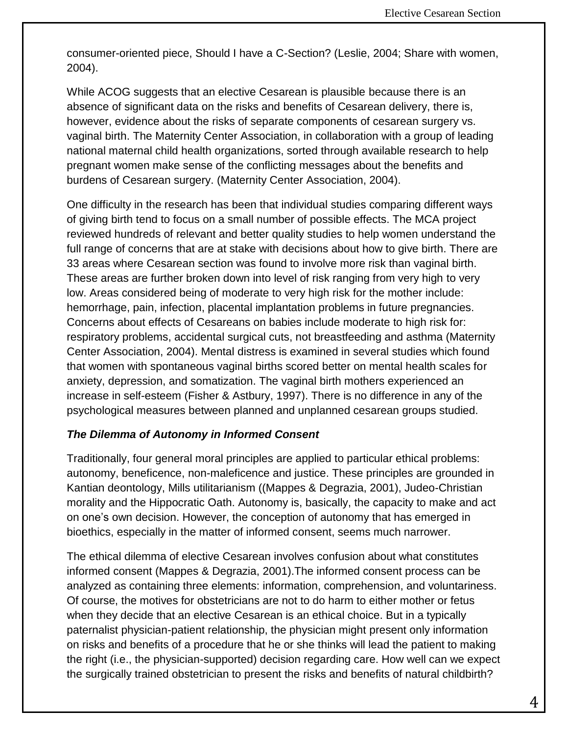consumer-oriented piece, Should I have a C-Section? (Leslie, 2004; Share with women, 2004).

While ACOG suggests that an elective Cesarean is plausible because there is an absence of significant data on the risks and benefits of Cesarean delivery, there is, however, evidence about the risks of separate components of cesarean surgery vs. vaginal birth. The Maternity Center Association, in collaboration with a group of leading national maternal child health organizations, sorted through available research to help pregnant women make sense of the conflicting messages about the benefits and burdens of Cesarean surgery. (Maternity Center Association, 2004).

One difficulty in the research has been that individual studies comparing different ways of giving birth tend to focus on a small number of possible effects. The MCA project reviewed hundreds of relevant and better quality studies to help women understand the full range of concerns that are at stake with decisions about how to give birth. There are 33 areas where Cesarean section was found to involve more risk than vaginal birth. These areas are further broken down into level of risk ranging from very high to very low. Areas considered being of moderate to very high risk for the mother include: hemorrhage, pain, infection, placental implantation problems in future pregnancies. Concerns about effects of Cesareans on babies include moderate to high risk for: respiratory problems, accidental surgical cuts, not breastfeeding and asthma (Maternity Center Association, 2004). Mental distress is examined in several studies which found that women with spontaneous vaginal births scored better on mental health scales for anxiety, depression, and somatization. The vaginal birth mothers experienced an increase in self-esteem (Fisher & Astbury, 1997). There is no difference in any of the psychological measures between planned and unplanned cesarean groups studied.

### *The Dilemma of Autonomy in Informed Consent*

Traditionally, four general moral principles are applied to particular ethical problems: autonomy, beneficence, non-maleficence and justice. These principles are grounded in Kantian deontology, Mills utilitarianism ((Mappes & Degrazia, 2001), Judeo-Christian morality and the Hippocratic Oath. Autonomy is, basically, the capacity to make and act on one's own decision. However, the conception of autonomy that has emerged in bioethics, especially in the matter of informed consent, seems much narrower.

The ethical dilemma of elective Cesarean involves confusion about what constitutes informed consent (Mappes & Degrazia, 2001).The informed consent process can be analyzed as containing three elements: information, comprehension, and voluntariness. Of course, the motives for obstetricians are not to do harm to either mother or fetus when they decide that an elective Cesarean is an ethical choice. But in a typically paternalist physician-patient relationship, the physician might present only information on risks and benefits of a procedure that he or she thinks will lead the patient to making the right (i.e., the physician-supported) decision regarding care. How well can we expect the surgically trained obstetrician to present the risks and benefits of natural childbirth?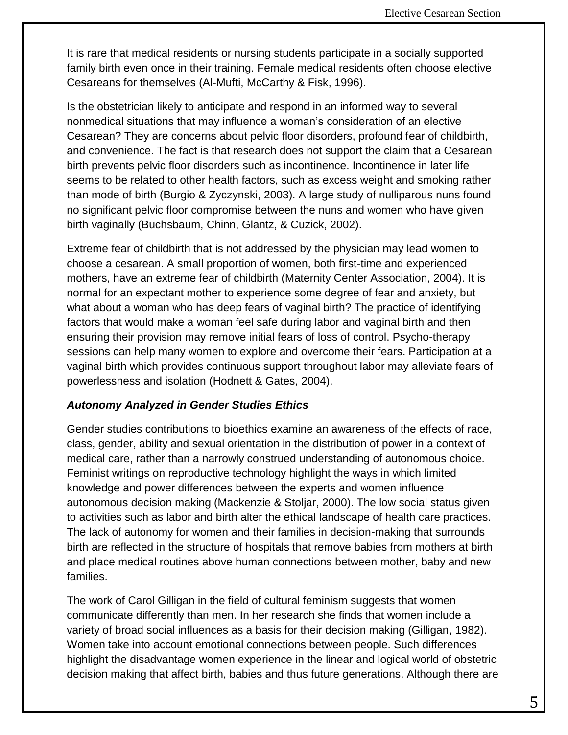It is rare that medical residents or nursing students participate in a socially supported family birth even once in their training. Female medical residents often choose elective Cesareans for themselves (Al-Mufti, McCarthy & Fisk, 1996).

Is the obstetrician likely to anticipate and respond in an informed way to several nonmedical situations that may influence a woman's consideration of an elective Cesarean? They are concerns about pelvic floor disorders, profound fear of childbirth, and convenience. The fact is that research does not support the claim that a Cesarean birth prevents pelvic floor disorders such as incontinence. Incontinence in later life seems to be related to other health factors, such as excess weight and smoking rather than mode of birth (Burgio & Zyczynski, 2003). A large study of nulliparous nuns found no significant pelvic floor compromise between the nuns and women who have given birth vaginally (Buchsbaum, Chinn, Glantz, & Cuzick, 2002).

Extreme fear of childbirth that is not addressed by the physician may lead women to choose a cesarean. A small proportion of women, both first-time and experienced mothers, have an extreme fear of childbirth (Maternity Center Association, 2004). It is normal for an expectant mother to experience some degree of fear and anxiety, but what about a woman who has deep fears of vaginal birth? The practice of identifying factors that would make a woman feel safe during labor and vaginal birth and then ensuring their provision may remove initial fears of loss of control. Psycho-therapy sessions can help many women to explore and overcome their fears. Participation at a vaginal birth which provides continuous support throughout labor may alleviate fears of powerlessness and isolation (Hodnett & Gates, 2004).

### *Autonomy Analyzed in Gender Studies Ethics*

Gender studies contributions to bioethics examine an awareness of the effects of race, class, gender, ability and sexual orientation in the distribution of power in a context of medical care, rather than a narrowly construed understanding of autonomous choice. Feminist writings on reproductive technology highlight the ways in which limited knowledge and power differences between the experts and women influence autonomous decision making (Mackenzie & Stoljar, 2000). The low social status given to activities such as labor and birth alter the ethical landscape of health care practices. The lack of autonomy for women and their families in decision-making that surrounds birth are reflected in the structure of hospitals that remove babies from mothers at birth and place medical routines above human connections between mother, baby and new families.

The work of Carol Gilligan in the field of cultural feminism suggests that women communicate differently than men. In her research she finds that women include a variety of broad social influences as a basis for their decision making (Gilligan, 1982). Women take into account emotional connections between people. Such differences highlight the disadvantage women experience in the linear and logical world of obstetric decision making that affect birth, babies and thus future generations. Although there are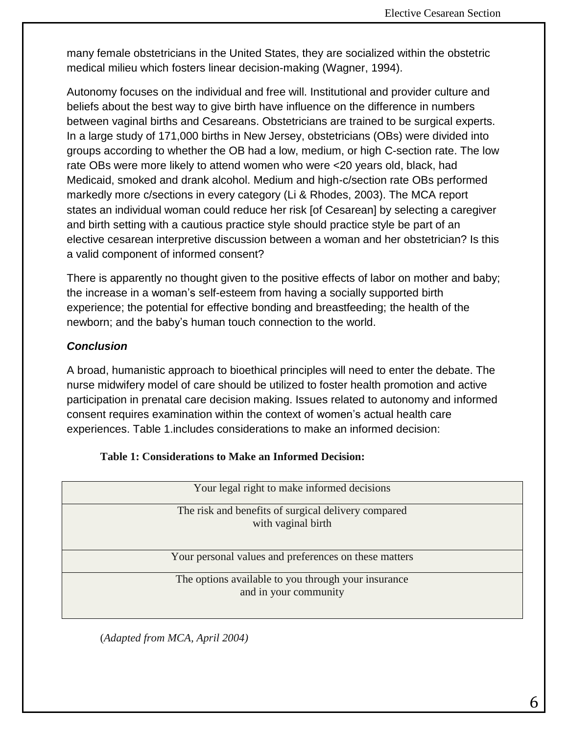many female obstetricians in the United States, they are socialized within the obstetric medical milieu which fosters linear decision-making (Wagner, 1994).

Autonomy focuses on the individual and free will. Institutional and provider culture and beliefs about the best way to give birth have influence on the difference in numbers between vaginal births and Cesareans. Obstetricians are trained to be surgical experts. In a large study of 171,000 births in New Jersey, obstetricians (OBs) were divided into groups according to whether the OB had a low, medium, or high C-section rate. The low rate OBs were more likely to attend women who were <20 years old, black, had Medicaid, smoked and drank alcohol. Medium and high-c/section rate OBs performed markedly more c/sections in every category (Li & Rhodes, 2003). The MCA report states an individual woman could reduce her risk [of Cesarean] by selecting a caregiver and birth setting with a cautious practice style should practice style be part of an elective cesarean interpretive discussion between a woman and her obstetrician? Is this a valid component of informed consent?

There is apparently no thought given to the positive effects of labor on mother and baby; the increase in a woman's self-esteem from having a socially supported birth experience; the potential for effective bonding and breastfeeding; the health of the newborn; and the baby's human touch connection to the world.

## *Conclusion*

A broad, humanistic approach to bioethical principles will need to enter the debate. The nurse midwifery model of care should be utilized to foster health promotion and active participation in prenatal care decision making. Issues related to autonomy and informed consent requires examination within the context of women's actual health care experiences. Table 1.includes considerations to make an informed decision:

| Your legal right to make informed decisions                                  |  |  |  |
|------------------------------------------------------------------------------|--|--|--|
| The risk and benefits of surgical delivery compared<br>with vaginal birth    |  |  |  |
| Your personal values and preferences on these matters                        |  |  |  |
| The options available to you through your insurance<br>and in your community |  |  |  |

| <b>Table 1: Considerations to Make an Informed Decision:</b> |  |  |  |
|--------------------------------------------------------------|--|--|--|
|--------------------------------------------------------------|--|--|--|

(*Adapted from MCA, April 2004)*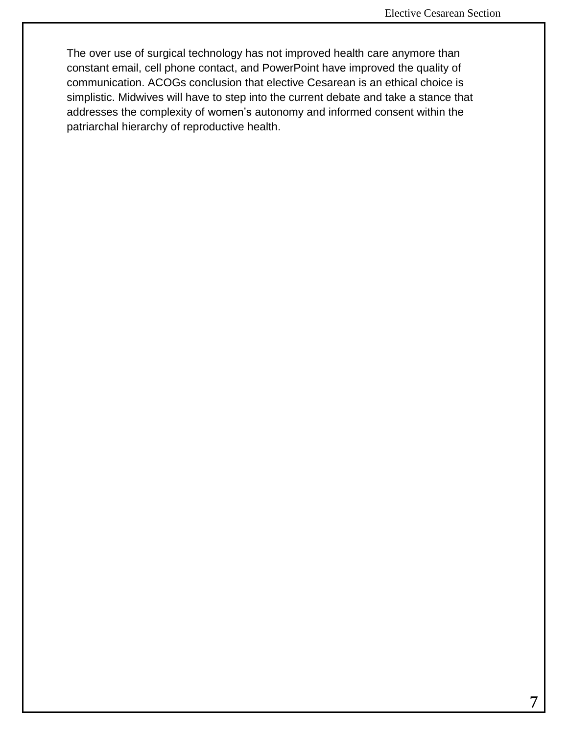The over use of surgical technology has not improved health care anymore than constant email, cell phone contact, and PowerPoint have improved the quality of communication. ACOGs conclusion that elective Cesarean is an ethical choice is simplistic. Midwives will have to step into the current debate and take a stance that addresses the complexity of women's autonomy and informed consent within the patriarchal hierarchy of reproductive health.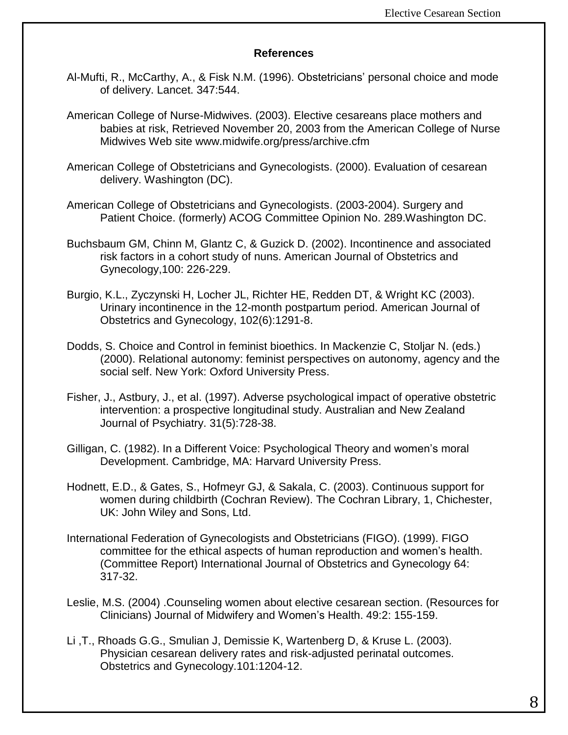### **References**

- Al-Mufti, R., McCarthy, A., & Fisk N.M. (1996). Obstetricians' personal choice and mode of delivery. Lancet. 347:544.
- American College of Nurse-Midwives. (2003). Elective cesareans place mothers and babies at risk, Retrieved November 20, 2003 from the American College of Nurse Midwives Web site www.midwife.org/press/archive.cfm
- American College of Obstetricians and Gynecologists. (2000). Evaluation of cesarean delivery. Washington (DC).
- American College of Obstetricians and Gynecologists. (2003-2004). Surgery and Patient Choice. (formerly) ACOG Committee Opinion No. 289.Washington DC.
- Buchsbaum GM, Chinn M, Glantz C, & Guzick D. (2002). Incontinence and associated risk factors in a cohort study of nuns. American Journal of Obstetrics and Gynecology,100: 226-229.
- Burgio, K.L., Zyczynski H, Locher JL, Richter HE, Redden DT, & Wright KC (2003). Urinary incontinence in the 12-month postpartum period. American Journal of Obstetrics and Gynecology, 102(6):1291-8.
- Dodds, S. Choice and Control in feminist bioethics. In Mackenzie C, Stoljar N. (eds.) (2000). Relational autonomy: feminist perspectives on autonomy, agency and the social self. New York: Oxford University Press.
- Fisher, J., Astbury, J., et al. (1997). Adverse psychological impact of operative obstetric intervention: a prospective longitudinal study. Australian and New Zealand Journal of Psychiatry. 31(5):728-38.
- Gilligan, C. (1982). In a Different Voice: Psychological Theory and women's moral Development. Cambridge, MA: Harvard University Press.
- Hodnett, E.D., & Gates, S., Hofmeyr GJ, & Sakala, C. (2003). Continuous support for women during childbirth (Cochran Review). The Cochran Library, 1, Chichester, UK: John Wiley and Sons, Ltd.
- International Federation of Gynecologists and Obstetricians (FIGO). (1999). FIGO committee for the ethical aspects of human reproduction and women's health. (Committee Report) International Journal of Obstetrics and Gynecology 64: 317-32.
- Leslie, M.S. (2004) .Counseling women about elective cesarean section. (Resources for Clinicians) Journal of Midwifery and Women's Health. 49:2: 155-159.
- Li ,T., Rhoads G.G., Smulian J, Demissie K, Wartenberg D, & Kruse L. (2003). Physician cesarean delivery rates and risk-adjusted perinatal outcomes. Obstetrics and Gynecology.101:1204-12.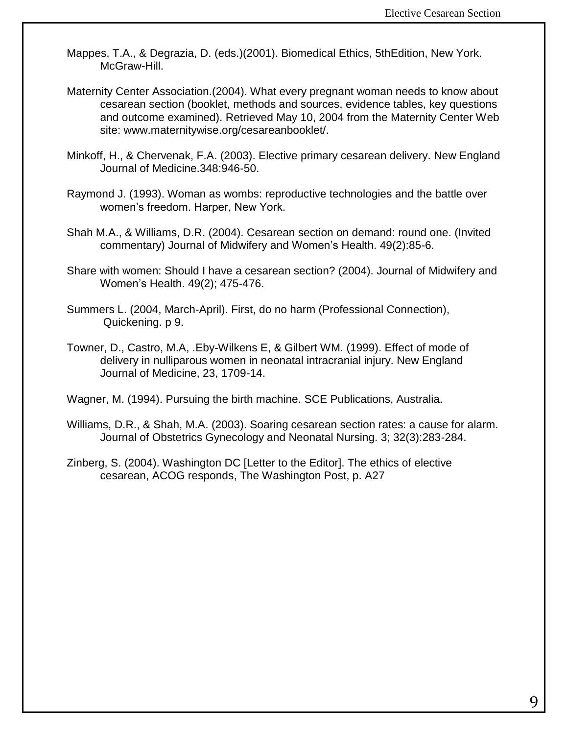- Mappes, T.A., & Degrazia, D. (eds.)(2001). Biomedical Ethics, 5thEdition, New York. McGraw-Hill.
- Maternity Center Association.(2004). What every pregnant woman needs to know about cesarean section (booklet, methods and sources, evidence tables, key questions and outcome examined). Retrieved May 10, 2004 from the Maternity Center Web site: www.maternitywise.org/cesareanbooklet/.
- Minkoff, H., & Chervenak, F.A. (2003). Elective primary cesarean delivery. New England Journal of Medicine.348:946-50.
- Raymond J. (1993). Woman as wombs: reproductive technologies and the battle over women's freedom. Harper, New York.
- Shah M.A., & Williams, D.R. (2004). Cesarean section on demand: round one. (Invited commentary) Journal of Midwifery and Women's Health. 49(2):85-6.
- Share with women: Should I have a cesarean section? (2004). Journal of Midwifery and Women's Health. 49(2); 475-476.
- Summers L. (2004, March-April). First, do no harm (Professional Connection), Quickening. p 9.
- Towner, D., Castro, M.A, .Eby-Wilkens E, & Gilbert WM. (1999). Effect of mode of delivery in nulliparous women in neonatal intracranial injury. New England Journal of Medicine, 23, 1709-14.

Wagner, M. (1994). Pursuing the birth machine. SCE Publications, Australia.

- Williams, D.R., & Shah, M.A. (2003). Soaring cesarean section rates: a cause for alarm. Journal of Obstetrics Gynecology and Neonatal Nursing. 3; 32(3):283-284.
- Zinberg, S. (2004). Washington DC [Letter to the Editor]. The ethics of elective cesarean, ACOG responds, The Washington Post, p. A27